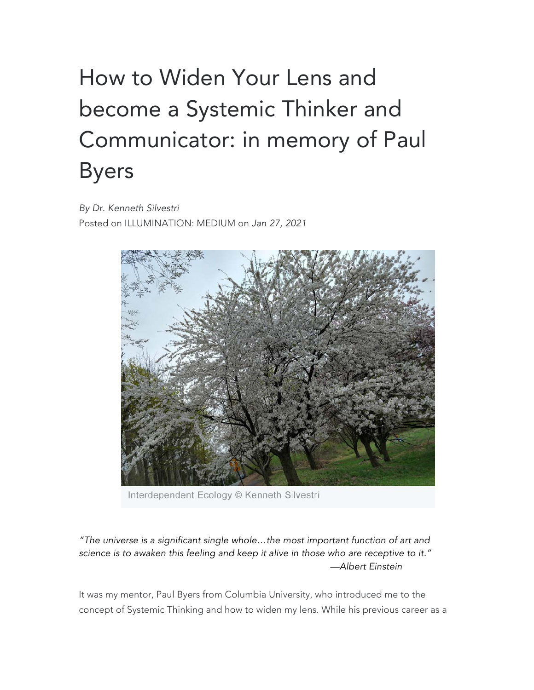## How to Widen Your Lens and become a Systemic Thinker and Communicator: in memory of Paul Byers

*By Dr. Kenneth Silvestri* Posted on ILLUMINATION: MEDIUM on *Jan 27, 2021*



Interdependent Ecology © Kenneth Silvestri

*"The universe is a significant single whole…the most important function of art and science is to awaken this feeling and keep it alive in those who are receptive to it." —Albert Einstein*

It was my mentor, Paul Byers from Columbia University, who introduced me to the concept of Systemic Thinking and how to widen my lens. While his previous career as a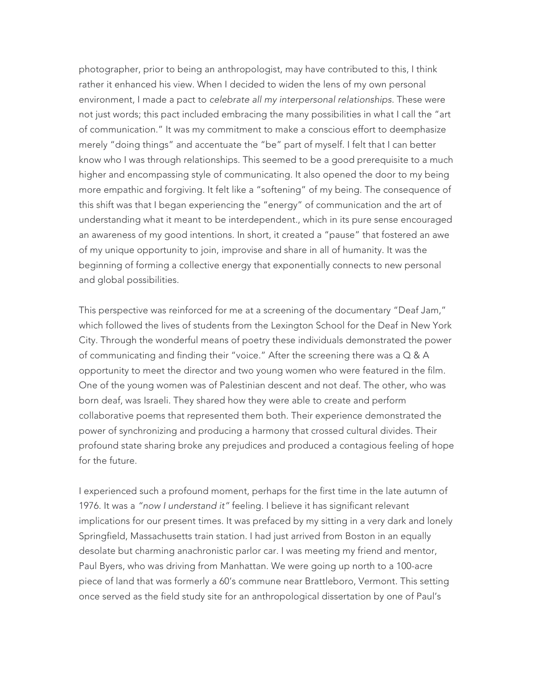photographer, prior to being an anthropologist, may have contributed to this, I think rather it enhanced his view. When I decided to widen the lens of my own personal environment, I made a pact to *celebrate all my interpersonal relationships*. These were not just words; this pact included embracing the many possibilities in what I call the "art of communication." It was my commitment to make a conscious effort to deemphasize merely "doing things" and accentuate the "be" part of myself. I felt that I can better know who I was through relationships. This seemed to be a good prerequisite to a much higher and encompassing style of communicating. It also opened the door to my being more empathic and forgiving. It felt like a "softening" of my being. The consequence of this shift was that I began experiencing the "energy" of communication and the art of understanding what it meant to be interdependent., which in its pure sense encouraged an awareness of my good intentions. In short, it created a "pause" that fostered an awe of my unique opportunity to join, improvise and share in all of humanity. It was the beginning of forming a collective energy that exponentially connects to new personal and global possibilities.

This perspective was reinforced for me at a screening of the documentary "Deaf Jam," which followed the lives of students from the Lexington School for the Deaf in New York City. Through the wonderful means of poetry these individuals demonstrated the power of communicating and finding their "voice." After the screening there was a Q & A opportunity to meet the director and two young women who were featured in the film. One of the young women was of Palestinian descent and not deaf. The other, who was born deaf, was Israeli. They shared how they were able to create and perform collaborative poems that represented them both. Their experience demonstrated the power of synchronizing and producing a harmony that crossed cultural divides. Their profound state sharing broke any prejudices and produced a contagious feeling of hope for the future.

I experienced such a profound moment, perhaps for the first time in the late autumn of 1976. It was a *"now I understand it"* feeling. I believe it has significant relevant implications for our present times. It was prefaced by my sitting in a very dark and lonely Springfield, Massachusetts train station. I had just arrived from Boston in an equally desolate but charming anachronistic parlor car. I was meeting my friend and mentor, Paul Byers, who was driving from Manhattan. We were going up north to a 100-acre piece of land that was formerly a 60's commune near Brattleboro, Vermont. This setting once served as the field study site for an anthropological dissertation by one of Paul's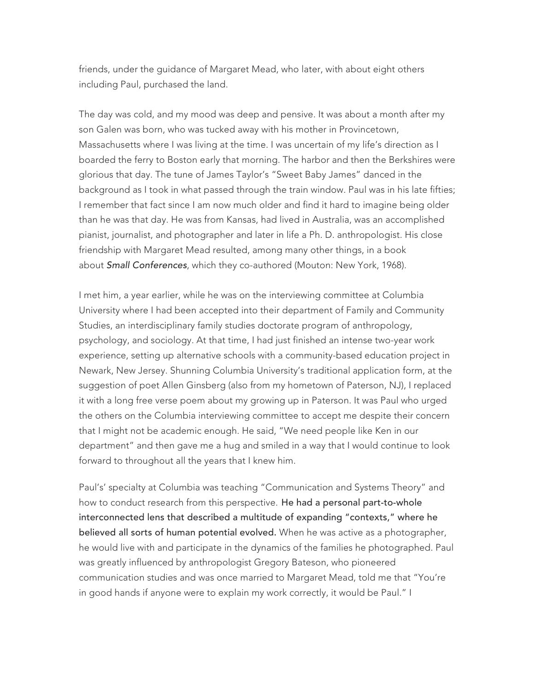friends, under the guidance of Margaret Mead, who later, with about eight others including Paul, purchased the land.

The day was cold, and my mood was deep and pensive. It was about a month after my son Galen was born, who was tucked away with his mother in Provincetown, Massachusetts where I was living at the time. I was uncertain of my life's direction as I boarded the ferry to Boston early that morning. The harbor and then the Berkshires were glorious that day. The tune of James Taylor's "Sweet Baby James" danced in the background as I took in what passed through the train window. Paul was in his late fifties; I remember that fact since I am now much older and find it hard to imagine being older than he was that day. He was from Kansas, had lived in Australia, was an accomplished pianist, journalist, and photographer and later in life a Ph. D. anthropologist. His close friendship with Margaret Mead resulted, among many other things, in a book about *Small Conferences*, which they co-authored (Mouton: New York, 1968).

I met him, a year earlier, while he was on the interviewing committee at Columbia University where I had been accepted into their department of Family and Community Studies, an interdisciplinary family studies doctorate program of anthropology, psychology, and sociology. At that time, I had just finished an intense two-year work experience, setting up alternative schools with a community-based education project in Newark, New Jersey. Shunning Columbia University's traditional application form, at the suggestion of poet Allen Ginsberg (also from my hometown of Paterson, NJ), I replaced it with a long free verse poem about my growing up in Paterson. It was Paul who urged the others on the Columbia interviewing committee to accept me despite their concern that I might not be academic enough. He said, "We need people like Ken in our department" and then gave me a hug and smiled in a way that I would continue to look forward to throughout all the years that I knew him.

Paul's' specialty at Columbia was teaching "Communication and Systems Theory" and how to conduct research from this perspective. He had a personal part-to-whole interconnected lens that described a multitude of expanding "contexts," where he believed all sorts of human potential evolved. When he was active as a photographer, he would live with and participate in the dynamics of the families he photographed. Paul was greatly influenced by anthropologist Gregory Bateson, who pioneered communication studies and was once married to Margaret Mead, told me that "You're in good hands if anyone were to explain my work correctly, it would be Paul." I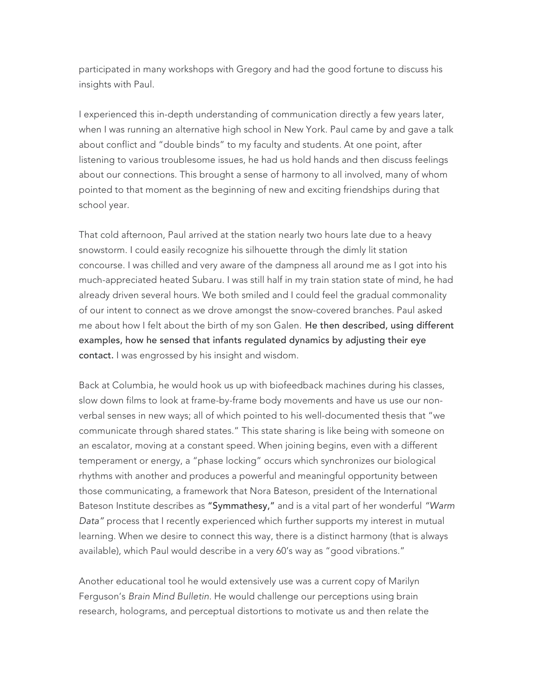participated in many workshops with Gregory and had the good fortune to discuss his insights with Paul.

I experienced this in-depth understanding of communication directly a few years later, when I was running an alternative high school in New York. Paul came by and gave a talk about conflict and "double binds" to my faculty and students. At one point, after listening to various troublesome issues, he had us hold hands and then discuss feelings about our connections. This brought a sense of harmony to all involved, many of whom pointed to that moment as the beginning of new and exciting friendships during that school year.

That cold afternoon, Paul arrived at the station nearly two hours late due to a heavy snowstorm. I could easily recognize his silhouette through the dimly lit station concourse. I was chilled and very aware of the dampness all around me as I got into his much-appreciated heated Subaru. I was still half in my train station state of mind, he had already driven several hours. We both smiled and I could feel the gradual commonality of our intent to connect as we drove amongst the snow-covered branches. Paul asked me about how I felt about the birth of my son Galen. He then described, using different examples, how he sensed that infants regulated dynamics by adjusting their eye contact. I was engrossed by his insight and wisdom.

Back at Columbia, he would hook us up with biofeedback machines during his classes, slow down films to look at frame-by-frame body movements and have us use our nonverbal senses in new ways; all of which pointed to his well-documented thesis that "we communicate through shared states." This state sharing is like being with someone on an escalator, moving at a constant speed. When joining begins, even with a different temperament or energy, a "phase locking" occurs which synchronizes our biological rhythms with another and produces a powerful and meaningful opportunity between those communicating, a framework that Nora Bateson, president of the International Bateson Institute describes as "Symmathesy," and is a vital part of her wonderful *"Warm Data"* process that I recently experienced which further supports my interest in mutual learning. When we desire to connect this way, there is a distinct harmony (that is always available), which Paul would describe in a very 60's way as "good vibrations."

Another educational tool he would extensively use was a current copy of Marilyn Ferguson's *Brain Mind Bulletin.* He would challenge our perceptions using brain research, holograms, and perceptual distortions to motivate us and then relate the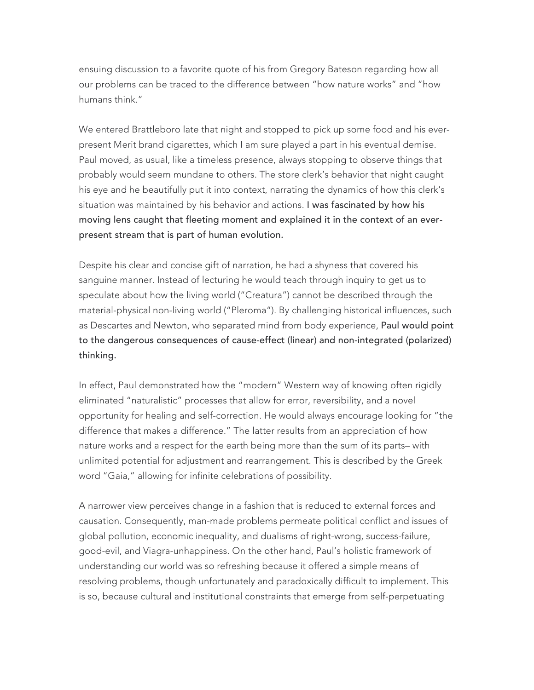ensuing discussion to a favorite quote of his from Gregory Bateson regarding how all our problems can be traced to the difference between "how nature works" and "how humans think."

We entered Brattleboro late that night and stopped to pick up some food and his everpresent Merit brand cigarettes, which I am sure played a part in his eventual demise. Paul moved, as usual, like a timeless presence, always stopping to observe things that probably would seem mundane to others. The store clerk's behavior that night caught his eye and he beautifully put it into context, narrating the dynamics of how this clerk's situation was maintained by his behavior and actions. I was fascinated by how his moving lens caught that fleeting moment and explained it in the context of an everpresent stream that is part of human evolution.

Despite his clear and concise gift of narration, he had a shyness that covered his sanguine manner. Instead of lecturing he would teach through inquiry to get us to speculate about how the living world ("Creatura") cannot be described through the material-physical non-living world ("Pleroma"). By challenging historical influences, such as Descartes and Newton, who separated mind from body experience, Paul would point to the dangerous consequences of cause-effect (linear) and non-integrated (polarized) thinking.

In effect, Paul demonstrated how the "modern" Western way of knowing often rigidly eliminated "naturalistic" processes that allow for error, reversibility, and a novel opportunity for healing and self-correction. He would always encourage looking for "the difference that makes a difference." The latter results from an appreciation of how nature works and a respect for the earth being more than the sum of its parts– with unlimited potential for adjustment and rearrangement. This is described by the Greek word "Gaia," allowing for infinite celebrations of possibility.

A narrower view perceives change in a fashion that is reduced to external forces and causation. Consequently, man-made problems permeate political conflict and issues of global pollution, economic inequality, and dualisms of right-wrong, success-failure, good-evil, and Viagra-unhappiness. On the other hand, Paul's holistic framework of understanding our world was so refreshing because it offered a simple means of resolving problems, though unfortunately and paradoxically difficult to implement. This is so, because cultural and institutional constraints that emerge from self-perpetuating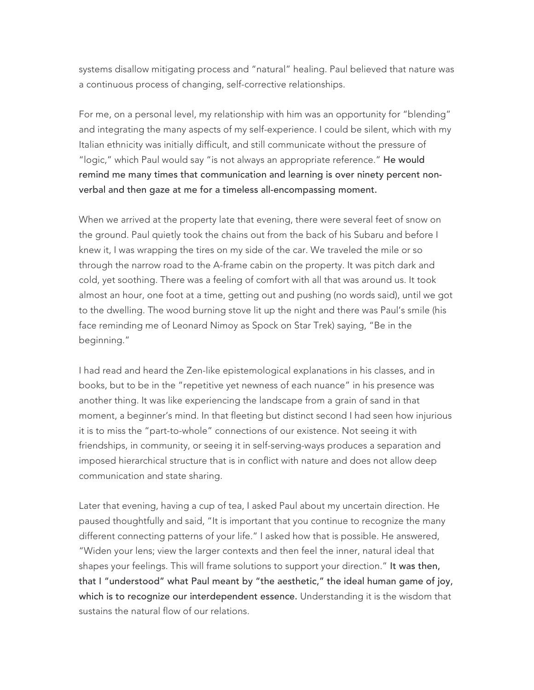systems disallow mitigating process and "natural" healing. Paul believed that nature was a continuous process of changing, self-corrective relationships.

For me, on a personal level, my relationship with him was an opportunity for "blending" and integrating the many aspects of my self-experience. I could be silent, which with my Italian ethnicity was initially difficult, and still communicate without the pressure of "logic," which Paul would say "is not always an appropriate reference." He would remind me many times that communication and learning is over ninety percent nonverbal and then gaze at me for a timeless all-encompassing moment.

When we arrived at the property late that evening, there were several feet of snow on the ground. Paul quietly took the chains out from the back of his Subaru and before I knew it, I was wrapping the tires on my side of the car. We traveled the mile or so through the narrow road to the A-frame cabin on the property. It was pitch dark and cold, yet soothing. There was a feeling of comfort with all that was around us. It took almost an hour, one foot at a time, getting out and pushing (no words said), until we got to the dwelling. The wood burning stove lit up the night and there was Paul's smile (his face reminding me of Leonard Nimoy as Spock on Star Trek) saying, "Be in the beginning."

I had read and heard the Zen-like epistemological explanations in his classes, and in books, but to be in the "repetitive yet newness of each nuance" in his presence was another thing. It was like experiencing the landscape from a grain of sand in that moment, a beginner's mind. In that fleeting but distinct second I had seen how injurious it is to miss the "part-to-whole" connections of our existence. Not seeing it with friendships, in community, or seeing it in self-serving-ways produces a separation and imposed hierarchical structure that is in conflict with nature and does not allow deep communication and state sharing.

Later that evening, having a cup of tea, I asked Paul about my uncertain direction. He paused thoughtfully and said, "It is important that you continue to recognize the many different connecting patterns of your life." I asked how that is possible. He answered, "Widen your lens; view the larger contexts and then feel the inner, natural ideal that shapes your feelings. This will frame solutions to support your direction." It was then, that I "understood" what Paul meant by "the aesthetic," the ideal human game of joy, which is to recognize our interdependent essence. Understanding it is the wisdom that sustains the natural flow of our relations.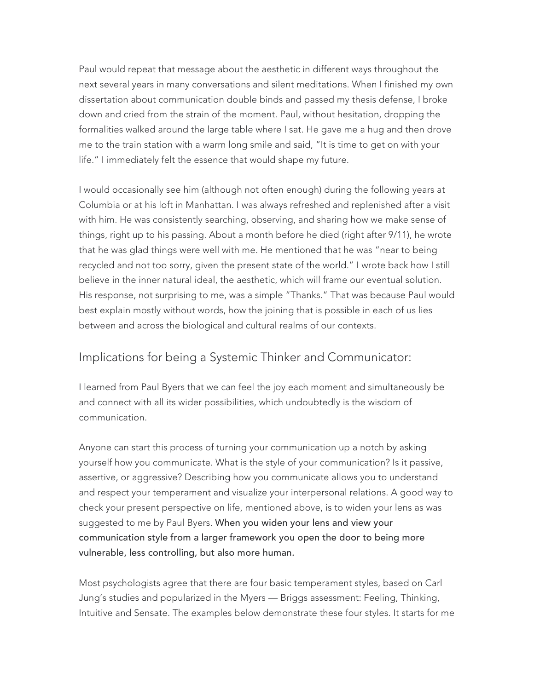Paul would repeat that message about the aesthetic in different ways throughout the next several years in many conversations and silent meditations. When I finished my own dissertation about communication double binds and passed my thesis defense, I broke down and cried from the strain of the moment. Paul, without hesitation, dropping the formalities walked around the large table where I sat. He gave me a hug and then drove me to the train station with a warm long smile and said, "It is time to get on with your life." I immediately felt the essence that would shape my future.

I would occasionally see him (although not often enough) during the following years at Columbia or at his loft in Manhattan. I was always refreshed and replenished after a visit with him. He was consistently searching, observing, and sharing how we make sense of things, right up to his passing. About a month before he died (right after 9/11), he wrote that he was glad things were well with me. He mentioned that he was "near to being recycled and not too sorry, given the present state of the world." I wrote back how I still believe in the inner natural ideal, the aesthetic, which will frame our eventual solution. His response, not surprising to me, was a simple "Thanks." That was because Paul would best explain mostly without words, how the joining that is possible in each of us lies between and across the biological and cultural realms of our contexts.

## Implications for being a Systemic Thinker and Communicator:

I learned from Paul Byers that we can feel the joy each moment and simultaneously be and connect with all its wider possibilities, which undoubtedly is the wisdom of communication.

Anyone can start this process of turning your communication up a notch by asking yourself how you communicate. What is the style of your communication? Is it passive, assertive, or aggressive? Describing how you communicate allows you to understand and respect your temperament and visualize your interpersonal relations. A good way to check your present perspective on life, mentioned above, is to widen your lens as was suggested to me by Paul Byers. When you widen your lens and view your communication style from a larger framework you open the door to being more vulnerable, less controlling, but also more human.

Most psychologists agree that there are four basic temperament styles, based on Carl Jung's studies and popularized in the Myers — Briggs assessment: Feeling, Thinking, Intuitive and Sensate. The examples below demonstrate these four styles. It starts for me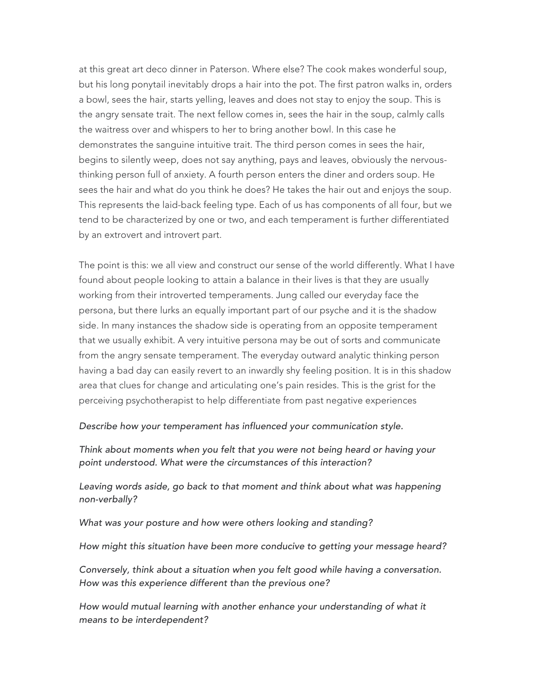at this great art deco dinner in Paterson. Where else? The cook makes wonderful soup, but his long ponytail inevitably drops a hair into the pot. The first patron walks in, orders a bowl, sees the hair, starts yelling, leaves and does not stay to enjoy the soup. This is the angry sensate trait. The next fellow comes in, sees the hair in the soup, calmly calls the waitress over and whispers to her to bring another bowl. In this case he demonstrates the sanguine intuitive trait. The third person comes in sees the hair, begins to silently weep, does not say anything, pays and leaves, obviously the nervousthinking person full of anxiety. A fourth person enters the diner and orders soup. He sees the hair and what do you think he does? He takes the hair out and enjoys the soup. This represents the laid-back feeling type. Each of us has components of all four, but we tend to be characterized by one or two, and each temperament is further differentiated by an extrovert and introvert part.

The point is this: we all view and construct our sense of the world differently. What I have found about people looking to attain a balance in their lives is that they are usually working from their introverted temperaments. Jung called our everyday face the persona, but there lurks an equally important part of our psyche and it is the shadow side. In many instances the shadow side is operating from an opposite temperament that we usually exhibit. A very intuitive persona may be out of sorts and communicate from the angry sensate temperament. The everyday outward analytic thinking person having a bad day can easily revert to an inwardly shy feeling position. It is in this shadow area that clues for change and articulating one's pain resides. This is the grist for the perceiving psychotherapist to help differentiate from past negative experiences

## *Describe how your temperament has influenced your communication style.*

*Think about moments when you felt that you were not being heard or having your point understood. What were the circumstances of this interaction?*

Leaving words aside, go back to that moment and think about what was happening *non-verbally?*

*What was your posture and how were others looking and standing?*

*How might this situation have been more conducive to getting your message heard?*

*Conversely, think about a situation when you felt good while having a conversation. How was this experience different than the previous one?*

*How would mutual learning with another enhance your understanding of what it means to be interdependent?*